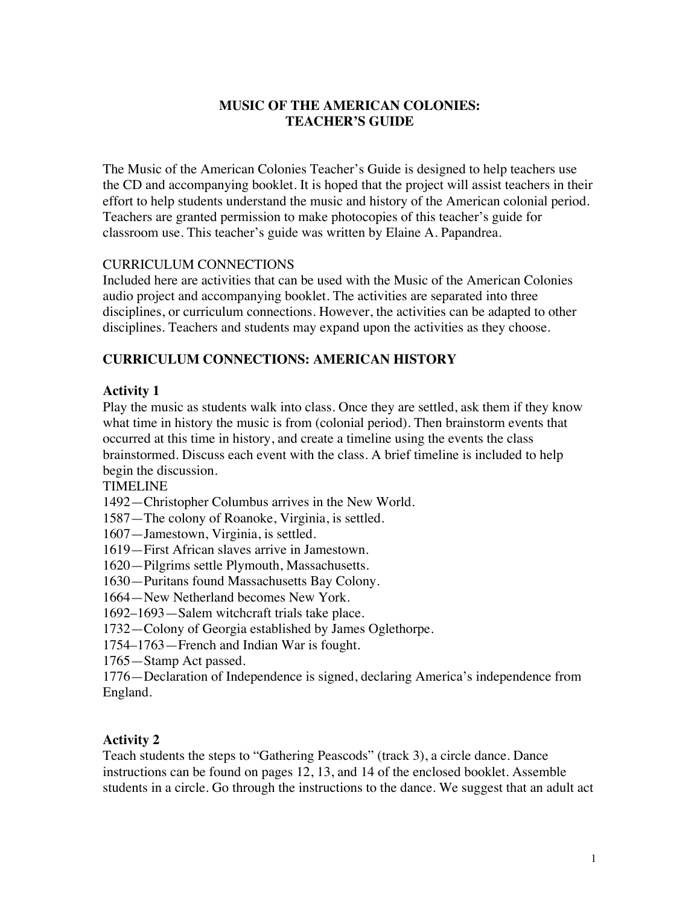### **MUSIC OF THE AMERICAN COLONIES: TEACHER'S GUIDE**

The Music of the American Colonies Teacher's Guide is designed to help teachers use the CD and accompanying booklet. It is hoped that the project will assist teachers in their effort to help students understand the music and history of the American colonial period. Teachers are granted permission to make photocopies of this teacher's guide for classroom use. This teacher's guide was written by Elaine A. Papandrea.

## CURRICULUM CONNECTIONS

Included here are activities that can be used with the Music of the American Colonies audio project and accompanying booklet. The activities are separated into three disciplines, or curriculum connections. However, the activities can be adapted to other disciplines. Teachers and students may expand upon the activities as they choose.

# **CURRICULUM CONNECTIONS: AMERICAN HISTORY**

## **Activity 1**

Play the music as students walk into class. Once they are settled, ask them if they know what time in history the music is from (colonial period). Then brainstorm events that occurred at this time in history, and create a timeline using the events the class brainstormed. Discuss each event with the class. A brief timeline is included to help begin the discussion.

TIMELINE

- 1492—Christopher Columbus arrives in the New World.
- 1587—The colony of Roanoke, Virginia, is settled.
- 1607—Jamestown, Virginia, is settled.
- 1619—First African slaves arrive in Jamestown.
- 1620—Pilgrims settle Plymouth, Massachusetts.
- 1630—Puritans found Massachusetts Bay Colony.
- 1664—New Netherland becomes New York.
- 1692–1693—Salem witchcraft trials take place.
- 1732—Colony of Georgia established by James Oglethorpe.
- 1754–1763—French and Indian War is fought.
- 1765—Stamp Act passed.

1776—Declaration of Independence is signed, declaring America's independence from England.

## **Activity 2**

Teach students the steps to "Gathering Peascods" (track 3), a circle dance. Dance instructions can be found on pages 12, 13, and 14 of the enclosed booklet. Assemble students in a circle. Go through the instructions to the dance. We suggest that an adult act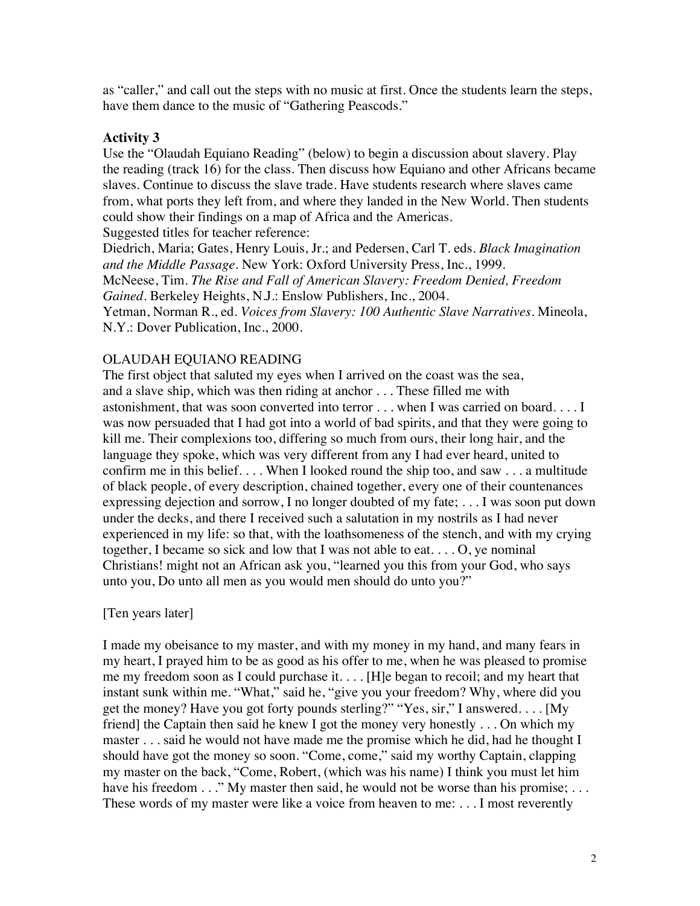as "caller," and call out the steps with no music at first. Once the students learn the steps, have them dance to the music of "Gathering Peascods."

### **Activity 3**

Use the "Olaudah Equiano Reading" (below) to begin a discussion about slavery. Play the reading (track 16) for the class. Then discuss how Equiano and other Africans became slaves. Continue to discuss the slave trade. Have students research where slaves came from, what ports they left from, and where they landed in the New World. Then students could show their findings on a map of Africa and the Americas. Suggested titles for teacher reference:

Diedrich, Maria; Gates, Henry Louis, Jr.; and Pedersen, Carl T. eds. *Black Imagination and the Middle Passage*. New York: Oxford University Press, Inc., 1999. McNeese, Tim. *The Rise and Fall of American Slavery: Freedom Denied, Freedom Gained*. Berkeley Heights, N.J.: Enslow Publishers, Inc., 2004. Yetman, Norman R., ed. *Voices from Slavery: 100 Authentic Slave Narratives*. Mineola, N.Y.: Dover Publication, Inc., 2000.

## OLAUDAH EQUIANO READING

The first object that saluted my eyes when I arrived on the coast was the sea, and a slave ship, which was then riding at anchor . . . These filled me with astonishment, that was soon converted into terror . . . when I was carried on board. . . . I was now persuaded that I had got into a world of bad spirits, and that they were going to kill me. Their complexions too, differing so much from ours, their long hair, and the language they spoke, which was very different from any I had ever heard, united to confirm me in this belief. . . . When I looked round the ship too, and saw . . . a multitude of black people, of every description, chained together, every one of their countenances expressing dejection and sorrow, I no longer doubted of my fate; . . . I was soon put down under the decks, and there I received such a salutation in my nostrils as I had never experienced in my life: so that, with the loathsomeness of the stench, and with my crying together, I became so sick and low that I was not able to eat. . . . O, ye nominal Christians! might not an African ask you, "learned you this from your God, who says unto you, Do unto all men as you would men should do unto you?"

## [Ten years later]

I made my obeisance to my master, and with my money in my hand, and many fears in my heart, I prayed him to be as good as his offer to me, when he was pleased to promise me my freedom soon as I could purchase it. . . . [H]e began to recoil; and my heart that instant sunk within me. "What," said he, "give you your freedom? Why, where did you get the money? Have you got forty pounds sterling?" "Yes, sir," I answered. . . . [My friend] the Captain then said he knew I got the money very honestly . . . On which my master . . . said he would not have made me the promise which he did, had he thought I should have got the money so soon. "Come, come," said my worthy Captain, clapping my master on the back, "Come, Robert, (which was his name) I think you must let him have his freedom . . ." My master then said, he would not be worse than his promise; . . . These words of my master were like a voice from heaven to me: . . . I most reverently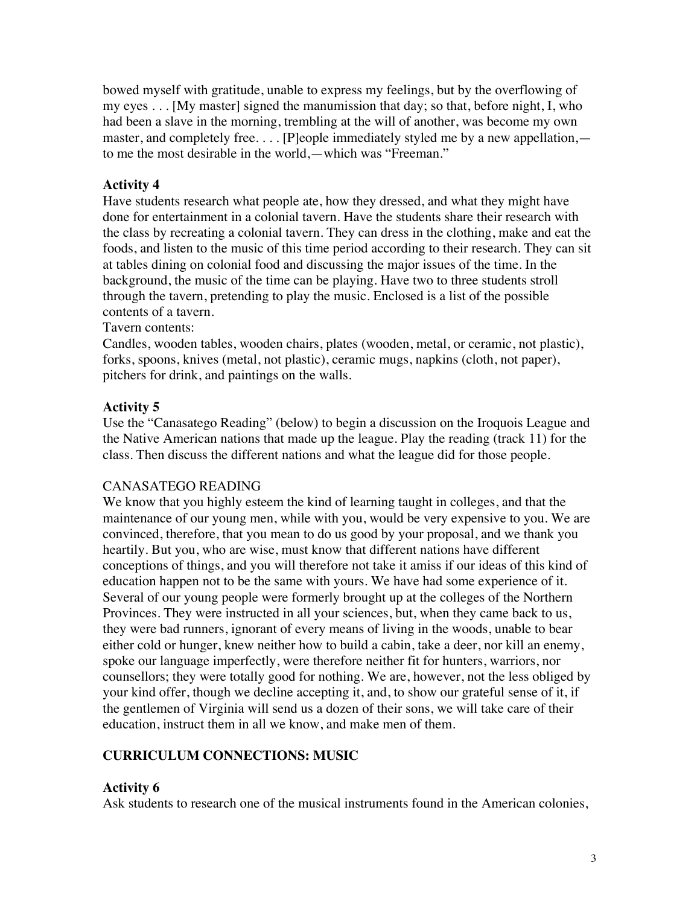bowed myself with gratitude, unable to express my feelings, but by the overflowing of my eyes . . . [My master] signed the manumission that day; so that, before night, I, who had been a slave in the morning, trembling at the will of another, was become my own master, and completely free. . . . [P]eople immediately styled me by a new appellation, to me the most desirable in the world,—which was "Freeman."

## **Activity 4**

Have students research what people ate, how they dressed, and what they might have done for entertainment in a colonial tavern. Have the students share their research with the class by recreating a colonial tavern. They can dress in the clothing, make and eat the foods, and listen to the music of this time period according to their research. They can sit at tables dining on colonial food and discussing the major issues of the time. In the background, the music of the time can be playing. Have two to three students stroll through the tavern, pretending to play the music. Enclosed is a list of the possible contents of a tavern.

Tavern contents:

Candles, wooden tables, wooden chairs, plates (wooden, metal, or ceramic, not plastic), forks, spoons, knives (metal, not plastic), ceramic mugs, napkins (cloth, not paper), pitchers for drink, and paintings on the walls.

# **Activity 5**

Use the "Canasatego Reading" (below) to begin a discussion on the Iroquois League and the Native American nations that made up the league. Play the reading (track 11) for the class. Then discuss the different nations and what the league did for those people.

## CANASATEGO READING

We know that you highly esteem the kind of learning taught in colleges, and that the maintenance of our young men, while with you, would be very expensive to you. We are convinced, therefore, that you mean to do us good by your proposal, and we thank you heartily. But you, who are wise, must know that different nations have different conceptions of things, and you will therefore not take it amiss if our ideas of this kind of education happen not to be the same with yours. We have had some experience of it. Several of our young people were formerly brought up at the colleges of the Northern Provinces. They were instructed in all your sciences, but, when they came back to us, they were bad runners, ignorant of every means of living in the woods, unable to bear either cold or hunger, knew neither how to build a cabin, take a deer, nor kill an enemy, spoke our language imperfectly, were therefore neither fit for hunters, warriors, nor counsellors; they were totally good for nothing. We are, however, not the less obliged by your kind offer, though we decline accepting it, and, to show our grateful sense of it, if the gentlemen of Virginia will send us a dozen of their sons, we will take care of their education, instruct them in all we know, and make men of them.

# **CURRICULUM CONNECTIONS: MUSIC**

## **Activity 6**

Ask students to research one of the musical instruments found in the American colonies,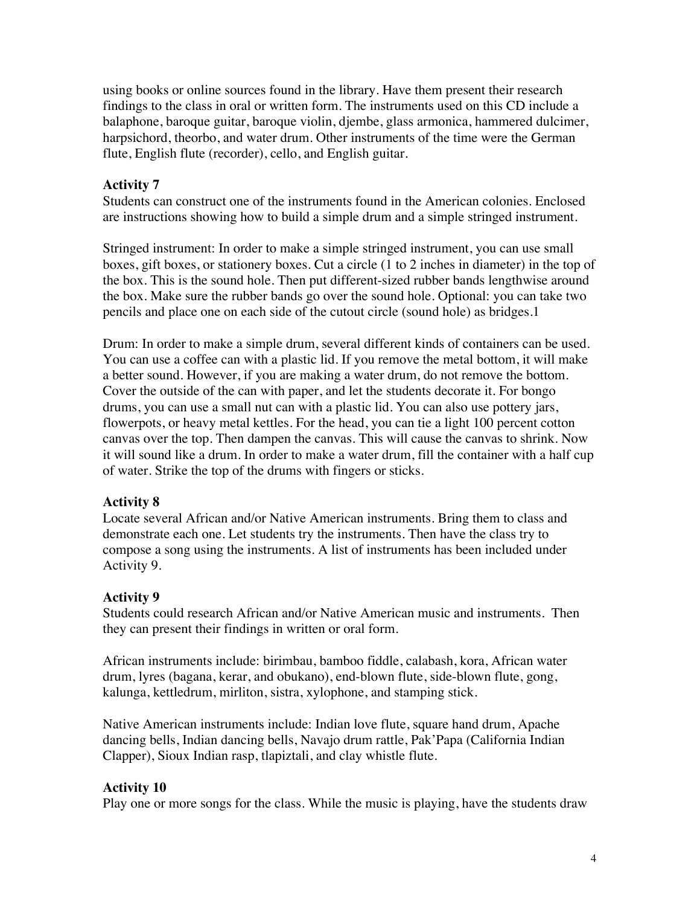using books or online sources found in the library. Have them present their research findings to the class in oral or written form. The instruments used on this CD include a balaphone, baroque guitar, baroque violin, djembe, glass armonica, hammered dulcimer, harpsichord, theorbo, and water drum. Other instruments of the time were the German flute, English flute (recorder), cello, and English guitar.

## **Activity 7**

Students can construct one of the instruments found in the American colonies. Enclosed are instructions showing how to build a simple drum and a simple stringed instrument.

Stringed instrument: In order to make a simple stringed instrument, you can use small boxes, gift boxes, or stationery boxes. Cut a circle (1 to 2 inches in diameter) in the top of the box. This is the sound hole. Then put different-sized rubber bands lengthwise around the box. Make sure the rubber bands go over the sound hole. Optional: you can take two pencils and place one on each side of the cutout circle (sound hole) as bridges.1

Drum: In order to make a simple drum, several different kinds of containers can be used. You can use a coffee can with a plastic lid. If you remove the metal bottom, it will make a better sound. However, if you are making a water drum, do not remove the bottom. Cover the outside of the can with paper, and let the students decorate it. For bongo drums, you can use a small nut can with a plastic lid. You can also use pottery jars, flowerpots, or heavy metal kettles. For the head, you can tie a light 100 percent cotton canvas over the top. Then dampen the canvas. This will cause the canvas to shrink. Now it will sound like a drum. In order to make a water drum, fill the container with a half cup of water. Strike the top of the drums with fingers or sticks.

#### **Activity 8**

Locate several African and/or Native American instruments. Bring them to class and demonstrate each one. Let students try the instruments. Then have the class try to compose a song using the instruments. A list of instruments has been included under Activity 9.

#### **Activity 9**

Students could research African and/or Native American music and instruments. Then they can present their findings in written or oral form.

African instruments include: birimbau, bamboo fiddle, calabash, kora, African water drum, lyres (bagana, kerar, and obukano), end-blown flute, side-blown flute, gong, kalunga, kettledrum, mirliton, sistra, xylophone, and stamping stick.

Native American instruments include: Indian love flute, square hand drum, Apache dancing bells, Indian dancing bells, Navajo drum rattle, Pak'Papa (California Indian Clapper), Sioux Indian rasp, tlapiztali, and clay whistle flute.

#### **Activity 10**

Play one or more songs for the class. While the music is playing, have the students draw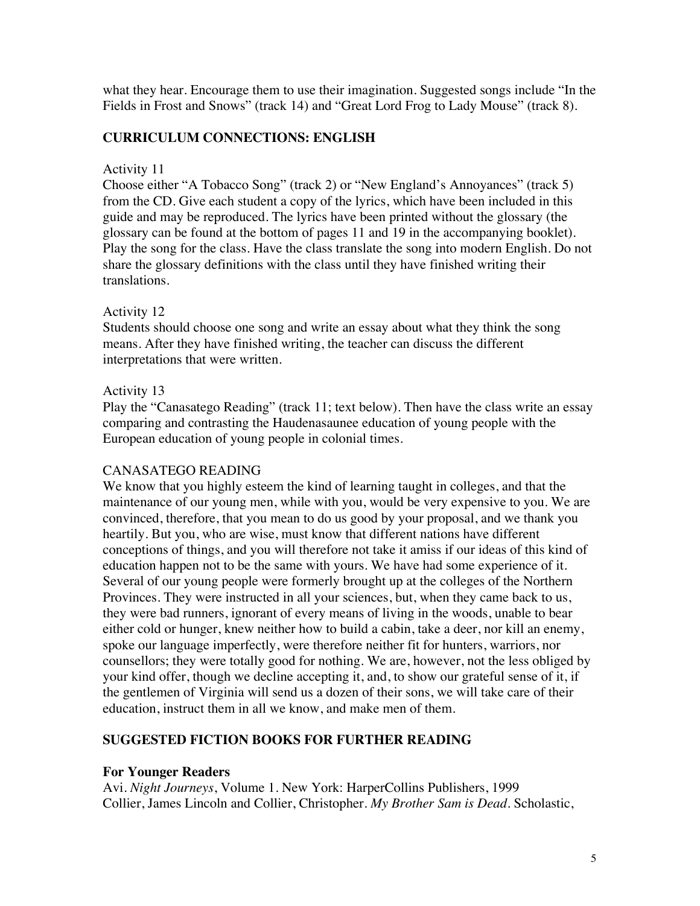what they hear. Encourage them to use their imagination. Suggested songs include "In the Fields in Frost and Snows" (track 14) and "Great Lord Frog to Lady Mouse" (track 8).

### **CURRICULUM CONNECTIONS: ENGLISH**

### Activity 11

Choose either "A Tobacco Song" (track 2) or "New England's Annoyances" (track 5) from the CD. Give each student a copy of the lyrics, which have been included in this guide and may be reproduced. The lyrics have been printed without the glossary (the glossary can be found at the bottom of pages 11 and 19 in the accompanying booklet). Play the song for the class. Have the class translate the song into modern English. Do not share the glossary definitions with the class until they have finished writing their translations.

### Activity 12

Students should choose one song and write an essay about what they think the song means. After they have finished writing, the teacher can discuss the different interpretations that were written.

### Activity 13

Play the "Canasatego Reading" (track 11; text below). Then have the class write an essay comparing and contrasting the Haudenasaunee education of young people with the European education of young people in colonial times.

## CANASATEGO READING

We know that you highly esteem the kind of learning taught in colleges, and that the maintenance of our young men, while with you, would be very expensive to you. We are convinced, therefore, that you mean to do us good by your proposal, and we thank you heartily. But you, who are wise, must know that different nations have different conceptions of things, and you will therefore not take it amiss if our ideas of this kind of education happen not to be the same with yours. We have had some experience of it. Several of our young people were formerly brought up at the colleges of the Northern Provinces. They were instructed in all your sciences, but, when they came back to us, they were bad runners, ignorant of every means of living in the woods, unable to bear either cold or hunger, knew neither how to build a cabin, take a deer, nor kill an enemy, spoke our language imperfectly, were therefore neither fit for hunters, warriors, nor counsellors; they were totally good for nothing. We are, however, not the less obliged by your kind offer, though we decline accepting it, and, to show our grateful sense of it, if the gentlemen of Virginia will send us a dozen of their sons, we will take care of their education, instruct them in all we know, and make men of them.

## **SUGGESTED FICTION BOOKS FOR FURTHER READING**

#### **For Younger Readers**

Avi. *Night Journeys*, Volume 1. New York: HarperCollins Publishers, 1999 Collier, James Lincoln and Collier, Christopher. *My Brother Sam is Dead*. Scholastic,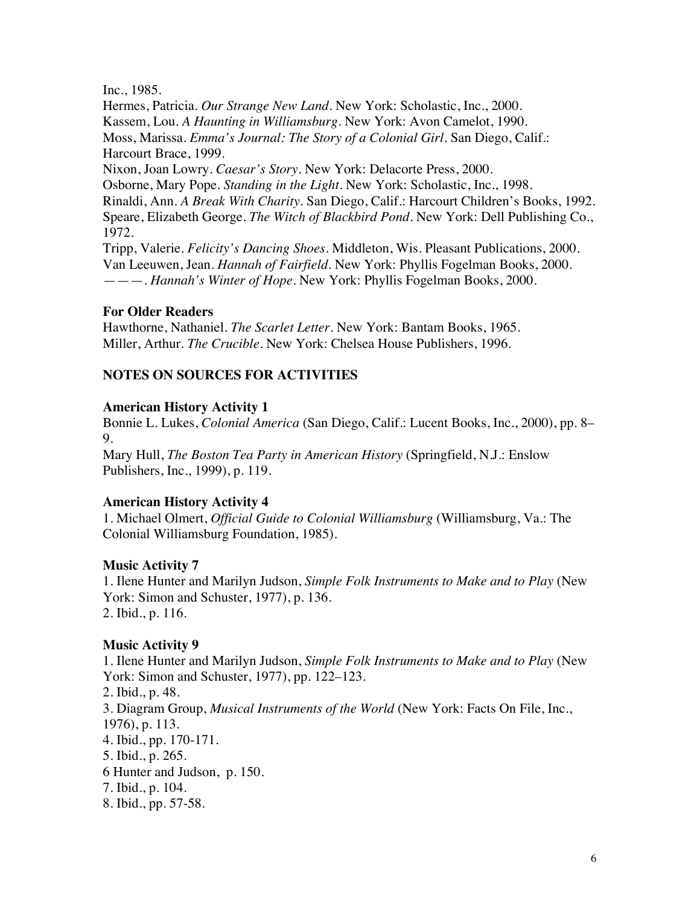Inc., 1985.

Hermes, Patricia. *Our Strange New Land*. New York: Scholastic, Inc., 2000. Kassem, Lou. *A Haunting in Williamsburg*. New York: Avon Camelot, 1990. Moss, Marissa. *Emma's Journal: The Story of a Colonial Girl*. San Diego, Calif.: Harcourt Brace, 1999.

Nixon, Joan Lowry. *Caesar's Story*. New York: Delacorte Press, 2000. Osborne, Mary Pope. *Standing in the Light*. New York: Scholastic, Inc., 1998. Rinaldi, Ann. *A Break With Charity*. San Diego, Calif.: Harcourt Children's Books, 1992. Speare, Elizabeth George. *The Witch of Blackbird Pond*. New York: Dell Publishing Co., 1972.

Tripp, Valerie. *Felicity's Dancing Shoes*. Middleton, Wis. Pleasant Publications, 2000. Van Leeuwen, Jean. *Hannah of Fairfield*. New York: Phyllis Fogelman Books, 2000. ———. *Hannah's Winter of Hope*. New York: Phyllis Fogelman Books, 2000.

### **For Older Readers**

Hawthorne, Nathaniel. *The Scarlet Letter*. New York: Bantam Books, 1965. Miller, Arthur. *The Crucible*. New York: Chelsea House Publishers, 1996.

### **NOTES ON SOURCES FOR ACTIVITIES**

#### **American History Activity 1**

Bonnie L. Lukes, *Colonial America* (San Diego, Calif.: Lucent Books, Inc., 2000), pp. 8– 9.

Mary Hull, *The Boston Tea Party in American History* (Springfield, N.J.: Enslow Publishers, Inc., 1999), p. 119.

## **American History Activity 4**

1. Michael Olmert, *Official Guide to Colonial Williamsburg* (Williamsburg, Va.: The Colonial Williamsburg Foundation, 1985).

## **Music Activity 7**

1. Ilene Hunter and Marilyn Judson, *Simple Folk Instruments to Make and to Play* (New York: Simon and Schuster, 1977), p. 136. 2. Ibid., p. 116.

#### **Music Activity 9**

1. Ilene Hunter and Marilyn Judson, *Simple Folk Instruments to Make and to Play* (New York: Simon and Schuster, 1977), pp. 122–123. 2. Ibid., p. 48. 3. Diagram Group, *Musical Instruments of the World* (New York: Facts On File, Inc., 1976), p. 113. 4. Ibid., pp. 170-171. 5. Ibid., p. 265. 6 Hunter and Judson, p. 150. 7. Ibid., p. 104. 8. Ibid., pp. 57-58.